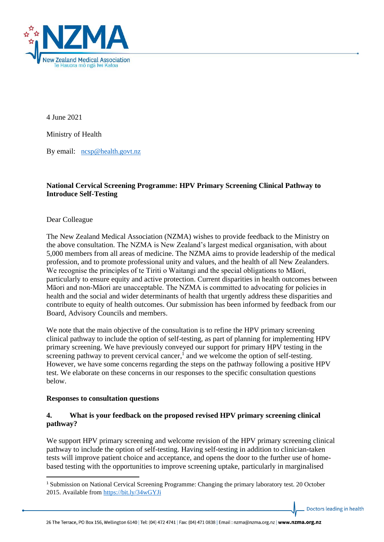

4 June 2021

Ministry of Health

By email: [ncsp@health.govt.nz](mailto:ncsp@health.govt.nz)

### **National Cervical Screening Programme: HPV Primary Screening Clinical Pathway to Introduce Self-Testing**

Dear Colleague

The New Zealand Medical Association (NZMA) wishes to provide feedback to the Ministry on the above consultation. The NZMA is New Zealand's largest medical organisation, with about 5,000 members from all areas of medicine. The NZMA aims to provide leadership of the medical profession, and to promote professional unity and values, and the health of all New Zealanders. We recognise the principles of te Tiriti o Waitangi and the special obligations to Māori, particularly to ensure equity and active protection. Current disparities in health outcomes between Māori and non-Māori are unacceptable. The NZMA is committed to advocating for policies in health and the social and wider determinants of health that urgently address these disparities and contribute to equity of health outcomes. Our submission has been informed by feedback from our Board, Advisory Councils and members.

We note that the main objective of the consultation is to refine the HPV primary screening clinical pathway to include the option of self-testing, as part of planning for implementing HPV primary screening. We have previously conveyed our support for primary HPV testing in the screening pathway to prevent cervical cancer,<sup>1</sup> and we welcome the option of self-testing. However, we have some concerns regarding the steps on the pathway following a positive HPV test. We elaborate on these concerns in our responses to the specific consultation questions below.

#### **Responses to consultation questions**

### **4. What is your feedback on the proposed revised HPV primary screening clinical pathway?**

We support HPV primary screening and welcome revision of the HPV primary screening clinical pathway to include the option of self-testing. Having self-testing in addition to clinician-taken tests will improve patient choice and acceptance, and opens the door to the further use of homebased testing with the opportunities to improve screening uptake, particularly in marginalised

<sup>1</sup> Submission on National Cervical Screening Programme: Changing the primary laboratory test. 20 October 2015. Available from<https://bit.ly/34wGYJi>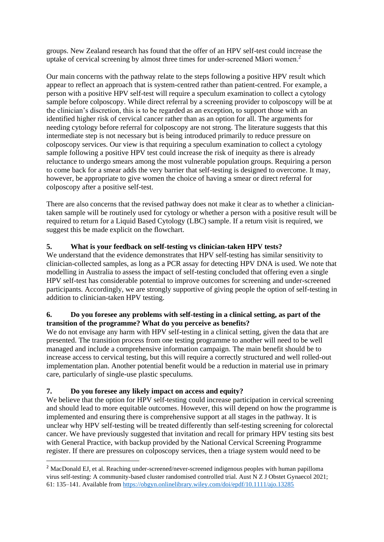groups. New Zealand research has found that the offer of an HPV self-test could increase the uptake of cervical screening by almost three times for under-screened Māori women.<sup>2</sup>

Our main concerns with the pathway relate to the steps following a positive HPV result which appear to reflect an approach that is system-centred rather than patient-centred. For example, a person with a positive HPV self-test will require a speculum examination to collect a cytology sample before colposcopy. While direct referral by a screening provider to colposcopy will be at the clinician's discretion, this is to be regarded as an exception, to support those with an identified higher risk of cervical cancer rather than as an option for all. The arguments for needing cytology before referral for colposcopy are not strong. The literature suggests that this intermediate step is not necessary but is being introduced primarily to reduce pressure on colposcopy services. Our view is that requiring a speculum examination to collect a cytology sample following a positive HPV test could increase the risk of inequity as there is already reluctance to undergo smears among the most vulnerable population groups. Requiring a person to come back for a smear adds the very barrier that self-testing is designed to overcome. It may, however, be appropriate to give women the choice of having a smear or direct referral for colposcopy after a positive self-test.

There are also concerns that the revised pathway does not make it clear as to whether a cliniciantaken sample will be routinely used for cytology or whether a person with a positive result will be required to return for a Liquid Based Cytology (LBC) sample. If a return visit is required, we suggest this be made explicit on the flowchart.

# **5. What is your feedback on self-testing vs clinician-taken HPV tests?**

We understand that the evidence demonstrates that HPV self-testing has similar sensitivity to clinician-collected samples, as long as a PCR assay for detecting HPV DNA is used. We note that modelling in Australia to assess the impact of self-testing concluded that offering even a single HPV self-test has considerable potential to improve outcomes for screening and under-screened participants. Accordingly, we are strongly supportive of giving people the option of self-testing in addition to clinician-taken HPV testing.

### **6. Do you foresee any problems with self-testing in a clinical setting, as part of the transition of the programme? What do you perceive as benefits?**

We do not envisage any harm with HPV self-testing in a clinical setting, given the data that are presented. The transition process from one testing programme to another will need to be well managed and include a comprehensive information campaign. The main benefit should be to increase access to cervical testing, but this will require a correctly structured and well rolled-out implementation plan. Another potential benefit would be a reduction in material use in primary care, particularly of single-use plastic speculums.

# **7. Do you foresee any likely impact on access and equity?**

We believe that the option for HPV self-testing could increase participation in cervical screening and should lead to more equitable outcomes. However, this will depend on how the programme is implemented and ensuring there is comprehensive support at all stages in the pathway. It is unclear why HPV self-testing will be treated differently than self-testing screening for colorectal cancer. We have previously suggested that invitation and recall for primary HPV testing sits best with General Practice, with backup provided by the National Cervical Screening Programme register. If there are pressures on colposcopy services, then a triage system would need to be

<sup>&</sup>lt;sup>2</sup> MacDonald EJ, et al. Reaching under-screened/never-screened indigenous peoples with human papilloma virus self-testing: A community-based cluster randomised controlled trial. Aust N Z J Obstet Gynaecol 2021; 61: 135–141. Available fro[m https://obgyn.onlinelibrary.wiley.com/doi/epdf/10.1111/ajo.13285](https://obgyn.onlinelibrary.wiley.com/doi/epdf/10.1111/ajo.13285)